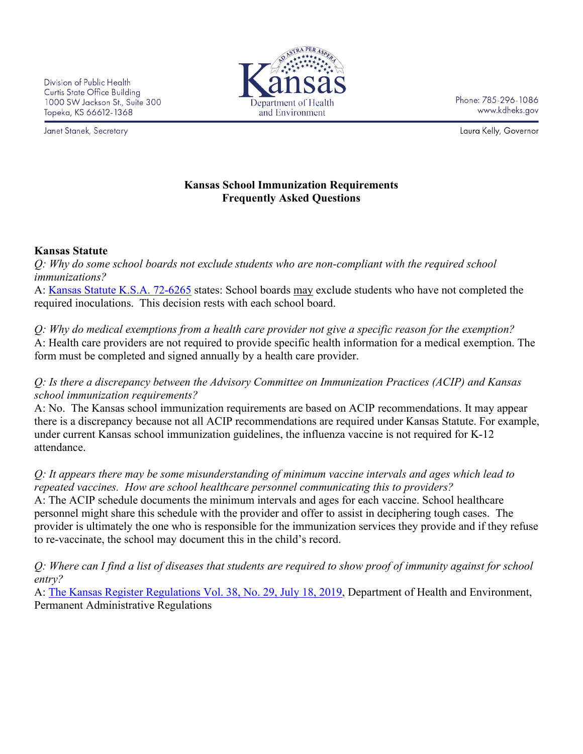Division of Public Health Curtis State Office Building 1000 SW Jackson St., Suite 300 Topeka, KS 66612-1368

Janet Stanek, Secretary



Phone: 785-296-1086 www.kdheks.gov

Laura Kelly, Governor

## **Kansas School Immunization Requirements Frequently Asked Questions**

#### **Kansas Statute**

*Q: Why do some school boards not exclude students who are non-compliant with the required school immunizations?*

A: [Kansas Statute K.S.A. 72-6265](https://www.kdhe.ks.gov/DocumentCenter/View/1233/Kansas-Statutes-Related-to-School-Immunizations-PDF) states: School boards may exclude students who have not completed the required inoculations. This decision rests with each school board.

*Q: Why do medical exemptions from a health care provider not give a specific reason for the exemption?* A: Health care providers are not required to provide specific health information for a medical exemption. The form must be completed and signed annually by a health care provider.

*Q: Is there a discrepancy between the Advisory Committee on Immunization Practices (ACIP) and Kansas school immunization requirements?*

A: No. The Kansas school immunization requirements are based on ACIP recommendations. It may appear there is a discrepancy because not all ACIP recommendations are required under Kansas Statute. For example, under current Kansas school immunization guidelines, the influenza vaccine is not required for K-12 attendance.

*Q: It appears there may be some misunderstanding of minimum vaccine intervals and ages which lead to repeated vaccines. How are school healthcare personnel communicating this to providers?* A: The ACIP schedule documents the minimum intervals and ages for each vaccine. School healthcare personnel might share this schedule with the provider and offer to assist in deciphering tough cases. The provider is ultimately the one who is responsible for the immunization services they provide and if they refuse to re-vaccinate, the school may document this in the child's record.

*Q: Where can I find a list of diseases that students are required to show proof of immunity against for school entry?*

A: [The Kansas Register Regulations Vol. 38, No. 29, July 18, 2019,](https://www.kdhe.ks.gov/DocumentCenter/View/21197/Kansas-Immunization-Regulations-for-School--Childcare-PDF) Department of Health and Environment, Permanent Administrative Regulations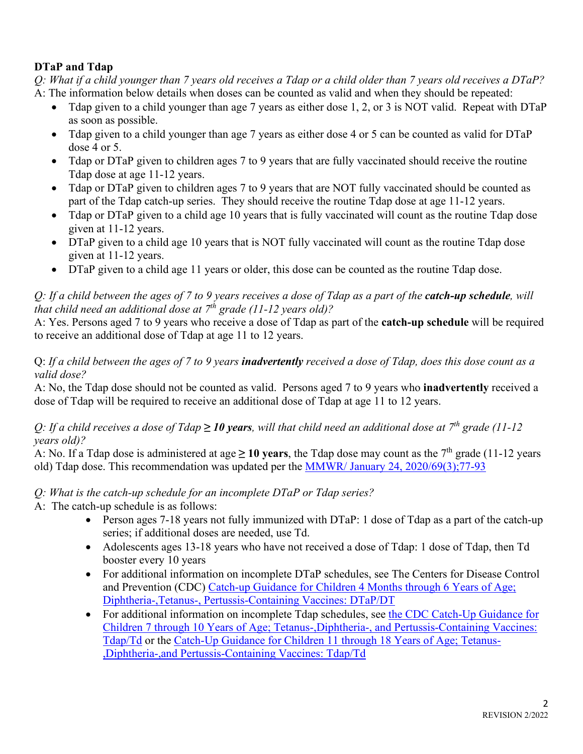## **DTaP and Tdap**

*Q: What if a child younger than 7 years old receives a Tdap or a child older than 7 years old receives a DTaP?* A: The information below details when doses can be counted as valid and when they should be repeated:

- Tdap given to a child younger than age 7 years as either dose 1, 2, or 3 is NOT valid. Repeat with DTaP as soon as possible.
- Tdap given to a child younger than age 7 years as either dose 4 or 5 can be counted as valid for DTaP dose 4 or 5.
- Tdap or DTaP given to children ages 7 to 9 years that are fully vaccinated should receive the routine Tdap dose at age 11-12 years.
- Tdap or DTaP given to children ages 7 to 9 years that are NOT fully vaccinated should be counted as part of the Tdap catch-up series. They should receive the routine Tdap dose at age 11-12 years.
- Tdap or DTaP given to a child age 10 years that is fully vaccinated will count as the routine Tdap dose given at 11-12 years.
- DTaP given to a child age 10 years that is NOT fully vaccinated will count as the routine Tdap dose given at 11-12 years.
- DTaP given to a child age 11 years or older, this dose can be counted as the routine Tdap dose.

## *Q: If a child between the ages of 7 to 9 years receives a dose of Tdap as a part of the catch-up schedule, will that child need an additional dose at 7th grade (11-12 years old)?*

A: Yes. Persons aged 7 to 9 years who receive a dose of Tdap as part of the **catch-up schedule** will be required to receive an additional dose of Tdap at age 11 to 12 years.

### Q: *If a child between the ages of 7 to 9 years inadvertently received a dose of Tdap, does this dose count as a valid dose?*

A: No, the Tdap dose should not be counted as valid. Persons aged 7 to 9 years who **inadvertently** received a dose of Tdap will be required to receive an additional dose of Tdap at age 11 to 12 years.

### *Q: If a child receives a dose of Tdap*  $\geq$  10 years, will that child need an additional dose at  $7<sup>th</sup>$  grade (11-12 *years old)?*

A: No. If a Tdap dose is administered at age  $\geq 10$  years, the Tdap dose may count as the 7<sup>th</sup> grade (11-12 years old) Tdap dose. This recommendation was updated per the [MMWR/ January 24, 2020/69\(3\);77-93](https://www.cdc.gov/mmwr/volumes/69/wr/mm6903a5.htm)

# *Q: What is the catch-up schedule for an incomplete DTaP or Tdap series?*

A: The catch-up schedule is as follows:

- Person ages 7-18 years not fully immunized with DTaP: 1 dose of Tdap as a part of the catch-up series; if additional doses are needed, use Td.
- Adolescents ages 13-18 years who have not received a dose of Tdap: 1 dose of Tdap, then Td booster every 10 years
- For additional information on incomplete DTaP schedules, see The Centers for Disease Control and Prevention (CDC) [Catch-up Guidance for Children 4 Months through 6 Years of Age;](https://www.cdc.gov/vaccines/schedules/hcp/imz/catchup.html)  [Diphtheria-,Tetanus-, Pertussis-Containing](https://www.cdc.gov/vaccines/schedules/hcp/imz/catchup.html) Vaccines: DTaP/DT
- For additional information on incomplete Tdap schedules, see the CDC Catch-Up Guidance for [Children 7 through 10 Years of Age; Tetanus-,Diphtheria-, and Pertussis-Containing Vaccines:](https://www.cdc.gov/vaccines/schedules/hcp/imz/catchup.html)  [Tdap/Td](https://www.cdc.gov/vaccines/schedules/hcp/imz/catchup.html) or the [Catch-Up Guidance for Children 11 through 18 Years of Age; Tetanus-](https://www.cdc.gov/vaccines/schedules/hcp/imz/catchup.html) [,Diphtheria-,and Pertussis-Containing Vaccines: Tdap/Td](https://www.cdc.gov/vaccines/schedules/hcp/imz/catchup.html)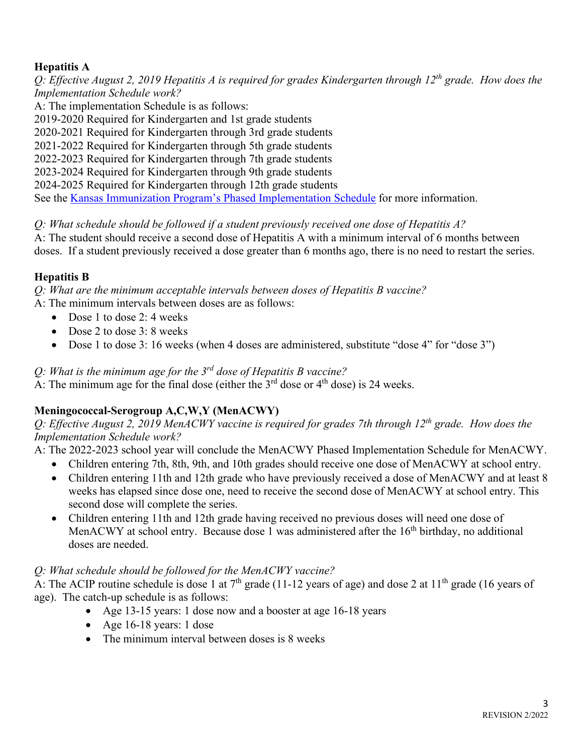### **Hepatitis A**

*Q: Effective August 2, 2019 Hepatitis A is required for grades Kindergarten through 12th grade. How does the Implementation Schedule work?*

A: The implementation Schedule is as follows:

2019-2020 Required for Kindergarten and 1st grade students

2020-2021 Required for Kindergarten through 3rd grade students

2021-2022 Required for Kindergarten through 5th grade students

2022-2023 Required for Kindergarten through 7th grade students

2023-2024 Required for Kindergarten through 9th grade students

2024-2025 Required for Kindergarten through 12th grade students

See the [Kansas Immunization Program's Phased Implementation Schedule](https://www.kdhe.ks.gov/DocumentCenter/View/1232/2021-to-2022-Kansas-School-Phase-In-Approach-PDF) for more information.

*Q: What schedule should be followed if a student previously received one dose of Hepatitis A?*

A: The student should receive a second dose of Hepatitis A with a minimum interval of 6 months between doses. If a student previously received a dose greater than 6 months ago, there is no need to restart the series.

### **Hepatitis B**

*Q: What are the minimum acceptable intervals between doses of Hepatitis B vaccine?* A: The minimum intervals between doses are as follows:

- Dose 1 to dose 2: 4 weeks
- Dose 2 to dose 3: 8 weeks
- Dose 1 to dose 3: 16 weeks (when 4 doses are administered, substitute "dose 4" for "dose 3")

*Q: What is the minimum age for the 3rd dose of Hepatitis B vaccine?*

 $\overline{A}$ : The minimum age for the final dose (either the  $3<sup>rd</sup>$  dose or 4<sup>th</sup> dose) is 24 weeks.

### **Meningococcal-Serogroup A,C,W,Y (MenACWY)**

*Q: Effective August 2, 2019 MenACWY vaccine is required for grades 7th through 12th grade. How does the Implementation Schedule work?*

A: The 2022-2023 school year will conclude the MenACWY Phased Implementation Schedule for MenACWY.

- Children entering 7th, 8th, 9th, and 10th grades should receive one dose of MenACWY at school entry.
- Children entering 11th and 12th grade who have previously received a dose of MenACWY and at least 8 weeks has elapsed since dose one, need to receive the second dose of MenACWY at school entry. This second dose will complete the series.
- Children entering 11th and 12th grade having received no previous doses will need one dose of MenACWY at school entry. Because dose 1 was administered after the 16<sup>th</sup> birthday, no additional doses are needed.

### *Q: What schedule should be followed for the MenACWY vaccine?*

A: The ACIP routine schedule is dose 1 at  $7<sup>th</sup>$  grade (11-12 years of age) and dose 2 at 11<sup>th</sup> grade (16 years of age). The catch-up schedule is as follows:

- Age 13-15 years: 1 dose now and a booster at age 16-18 years
- Age 16-18 years: 1 dose
- The minimum interval between doses is 8 weeks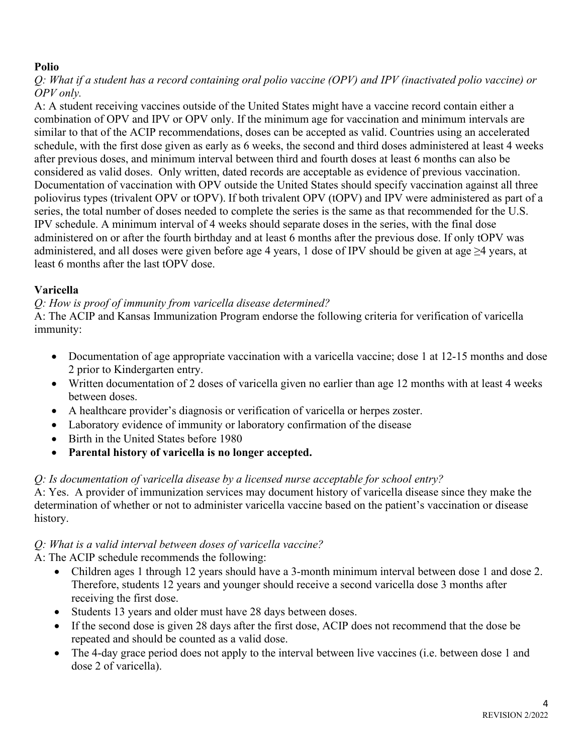## **Polio**

*Q: What if a student has a record containing oral polio vaccine (OPV) and IPV (inactivated polio vaccine) or OPV only.*

A: A student receiving vaccines outside of the United States might have a vaccine record contain either a combination of OPV and IPV or OPV only. If the minimum age for vaccination and minimum intervals are similar to that of the ACIP recommendations, doses can be accepted as valid. Countries using an accelerated schedule, with the first dose given as early as 6 weeks, the second and third doses administered at least 4 weeks after previous doses, and minimum interval between third and fourth doses at least 6 months can also be considered as valid doses. Only written, dated records are acceptable as evidence of previous vaccination. Documentation of vaccination with OPV outside the United States should specify vaccination against all three poliovirus types (trivalent OPV or tOPV). If both trivalent OPV (tOPV) and IPV were administered as part of a series, the total number of doses needed to complete the series is the same as that recommended for the U.S. IPV schedule. A minimum interval of 4 weeks should separate doses in the series, with the final dose administered on or after the fourth birthday and at least 6 months after the previous dose. If only tOPV was administered, and all doses were given before age 4 years, 1 dose of IPV should be given at age ≥4 years, at least 6 months after the last tOPV dose.

## **Varicella**

*Q: How is proof of immunity from varicella disease determined?*

A: The ACIP and Kansas Immunization Program endorse the following criteria for verification of varicella immunity:

- Documentation of age appropriate vaccination with a varicella vaccine; dose 1 at 12-15 months and dose 2 prior to Kindergarten entry.
- Written documentation of 2 doses of varicella given no earlier than age 12 months with at least 4 weeks between doses.
- A healthcare provider's diagnosis or verification of varicella or herpes zoster.
- Laboratory evidence of immunity or laboratory confirmation of the disease
- Birth in the United States before 1980
- **Parental history of varicella is no longer accepted.**

# *Q: Is documentation of varicella disease by a licensed nurse acceptable for school entry?*

A: Yes. A provider of immunization services may document history of varicella disease since they make the determination of whether or not to administer varicella vaccine based on the patient's vaccination or disease history.

# *Q: What is a valid interval between doses of varicella vaccine?*

A: The ACIP schedule recommends the following:

- Children ages 1 through 12 years should have a 3-month minimum interval between dose 1 and dose 2. Therefore, students 12 years and younger should receive a second varicella dose 3 months after receiving the first dose.
- Students 13 years and older must have 28 days between doses.
- If the second dose is given 28 days after the first dose, ACIP does not recommend that the dose be repeated and should be counted as a valid dose.
- The 4-day grace period does not apply to the interval between live vaccines (i.e. between dose 1 and dose 2 of varicella).